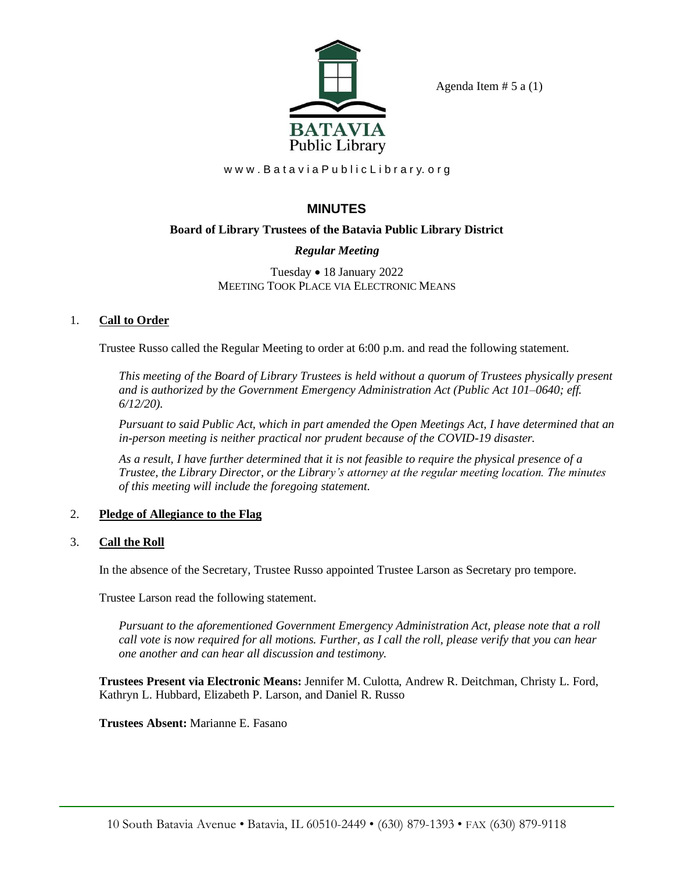

Agenda Item  $# 5$  a  $(1)$ 

www.Batavia Public Library.org

# **MINUTES**

# **Board of Library Trustees of the Batavia Public Library District**

# *Regular Meeting*

Tuesday • 18 January 2022 MEETING TOOK PLACE VIA ELECTRONIC MEANS

## 1. **Call to Order**

Trustee Russo called the Regular Meeting to order at 6:00 p.m. and read the following statement.

*This meeting of the Board of Library Trustees is held without a quorum of Trustees physically present and is authorized by the Government Emergency Administration Act (Public Act 101–0640; eff. 6/12/20).*

*Pursuant to said Public Act, which in part amended the Open Meetings Act, I have determined that an in-person meeting is neither practical nor prudent because of the COVID-19 disaster.*

*As a result, I have further determined that it is not feasible to require the physical presence of a Trustee, the Library Director, or the Library's attorney at the regular meeting location. The minutes of this meeting will include the foregoing statement.*

## 2. **Pledge of Allegiance to the Flag**

## 3. **Call the Roll**

In the absence of the Secretary, Trustee Russo appointed Trustee Larson as Secretary pro tempore.

Trustee Larson read the following statement.

*Pursuant to the aforementioned Government Emergency Administration Act, please note that a roll call vote is now required for all motions. Further, as I call the roll, please verify that you can hear one another and can hear all discussion and testimony.*

**Trustees Present via Electronic Means:** Jennifer M. Culotta, Andrew R. Deitchman, Christy L. Ford, Kathryn L. Hubbard, Elizabeth P. Larson, and Daniel R. Russo

**Trustees Absent:** Marianne E. Fasano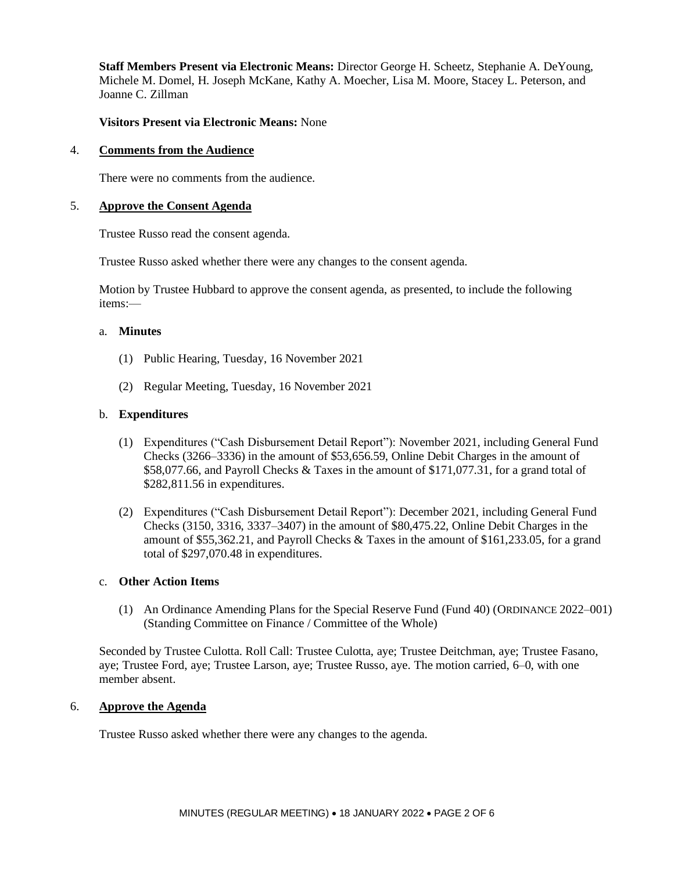**Staff Members Present via Electronic Means:** Director George H. Scheetz, Stephanie A. DeYoung, Michele M. Domel, H. Joseph McKane, Kathy A. Moecher, Lisa M. Moore, Stacey L. Peterson, and Joanne C. Zillman

#### **Visitors Present via Electronic Means:** None

#### 4. **Comments from the Audience**

There were no comments from the audience.

#### 5. **Approve the Consent Agenda**

Trustee Russo read the consent agenda.

Trustee Russo asked whether there were any changes to the consent agenda.

Motion by Trustee Hubbard to approve the consent agenda, as presented, to include the following items:—

#### a. **Minutes**

- (1) Public Hearing, Tuesday, 16 November 2021
- (2) Regular Meeting, Tuesday, 16 November 2021

#### b. **Expenditures**

- (1) Expenditures ("Cash Disbursement Detail Report"): November 2021, including General Fund Checks (3266–3336) in the amount of \$53,656.59, Online Debit Charges in the amount of \$58,077.66, and Payroll Checks & Taxes in the amount of \$171,077.31, for a grand total of \$282,811.56 in expenditures.
- (2) Expenditures ("Cash Disbursement Detail Report"): December 2021, including General Fund Checks (3150, 3316, 3337–3407) in the amount of \$80,475.22, Online Debit Charges in the amount of \$55,362.21, and Payroll Checks & Taxes in the amount of \$161,233.05, for a grand total of \$297,070.48 in expenditures.

#### c. **Other Action Items**

(1) An Ordinance Amending Plans for the Special Reserve Fund (Fund 40) (ORDINANCE 2022–001) (Standing Committee on Finance / Committee of the Whole)

Seconded by Trustee Culotta. Roll Call: Trustee Culotta, aye; Trustee Deitchman, aye; Trustee Fasano, aye; Trustee Ford, aye; Trustee Larson, aye; Trustee Russo, aye. The motion carried, 6–0, with one member absent.

#### 6. **Approve the Agenda**

Trustee Russo asked whether there were any changes to the agenda.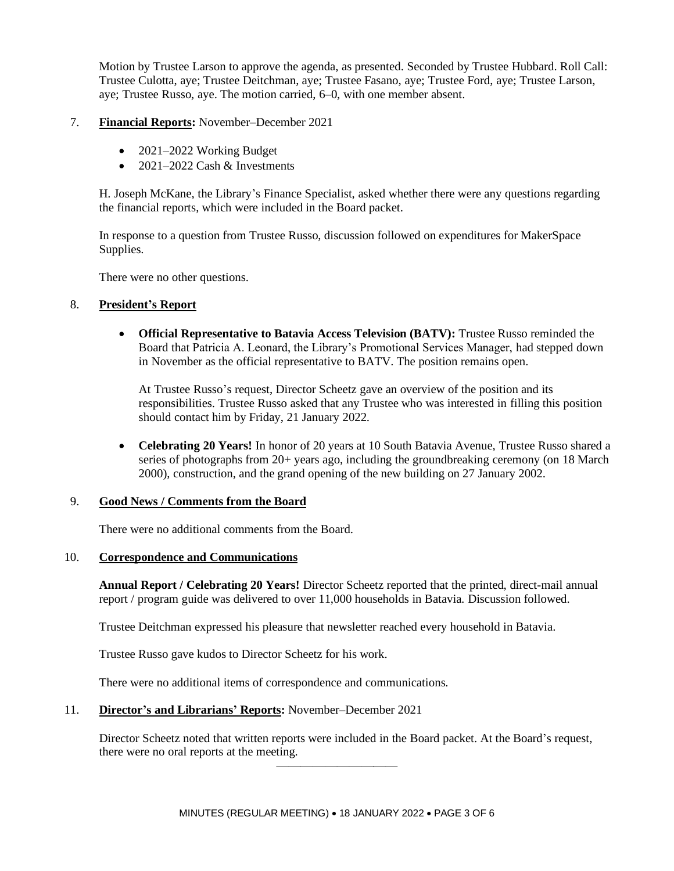Motion by Trustee Larson to approve the agenda, as presented. Seconded by Trustee Hubbard. Roll Call: Trustee Culotta, aye; Trustee Deitchman, aye; Trustee Fasano, aye; Trustee Ford, aye; Trustee Larson, aye; Trustee Russo, aye. The motion carried, 6–0, with one member absent.

#### 7. **Financial Reports:** November–December 2021

- 2021–2022 Working Budget
- $2021-2022$  Cash & Investments

H. Joseph McKane, the Library's Finance Specialist, asked whether there were any questions regarding the financial reports, which were included in the Board packet.

In response to a question from Trustee Russo, discussion followed on expenditures for MakerSpace Supplies.

There were no other questions.

#### 8. **President's Report**

• **Official Representative to Batavia Access Television (BATV):** Trustee Russo reminded the Board that Patricia A. Leonard, the Library's Promotional Services Manager, had stepped down in November as the official representative to BATV. The position remains open.

At Trustee Russo's request, Director Scheetz gave an overview of the position and its responsibilities. Trustee Russo asked that any Trustee who was interested in filling this position should contact him by Friday, 21 January 2022.

• **Celebrating 20 Years!** In honor of 20 years at 10 South Batavia Avenue, Trustee Russo shared a series of photographs from 20+ years ago, including the groundbreaking ceremony (on 18 March 2000), construction, and the grand opening of the new building on 27 January 2002.

### 9. **Good News / Comments from the Board**

There were no additional comments from the Board.

### 10. **Correspondence and Communications**

**Annual Report / Celebrating 20 Years!** Director Scheetz reported that the printed, direct-mail annual report / program guide was delivered to over 11,000 households in Batavia. Discussion followed.

Trustee Deitchman expressed his pleasure that newsletter reached every household in Batavia.

Trustee Russo gave kudos to Director Scheetz for his work.

There were no additional items of correspondence and communications.

### 11. **Director's and Librarians' Reports:** November–December 2021

Director Scheetz noted that written reports were included in the Board packet. At the Board's request, there were no oral reports at the meeting.

——————————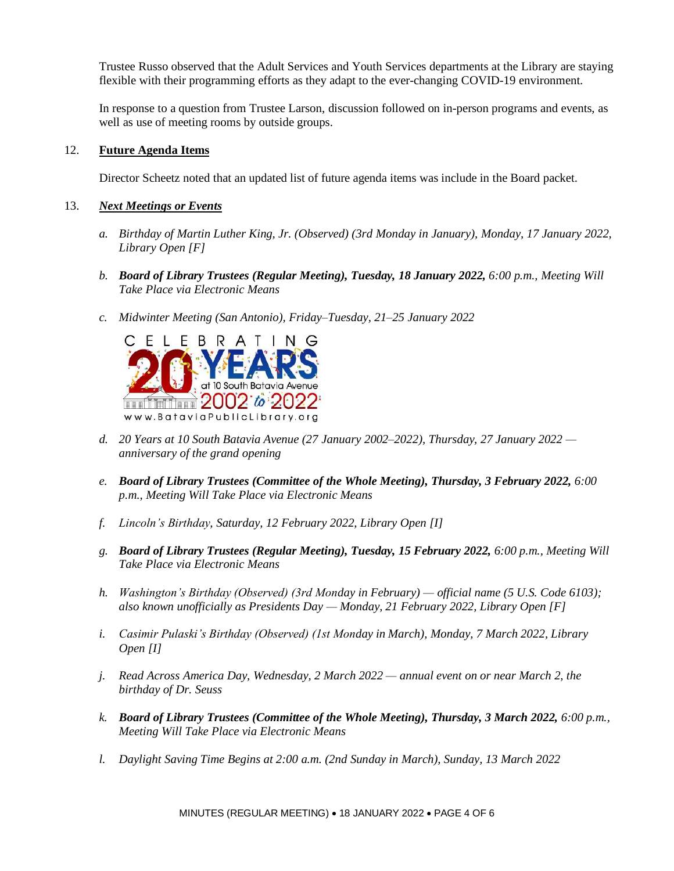Trustee Russo observed that the Adult Services and Youth Services departments at the Library are staying flexible with their programming efforts as they adapt to the ever-changing COVID-19 environment.

In response to a question from Trustee Larson, discussion followed on in-person programs and events, as well as use of meeting rooms by outside groups.

#### 12. **Future Agenda Items**

Director Scheetz noted that an updated list of future agenda items was include in the Board packet.

#### 13. *Next Meetings or Events*

- *a. Birthday of Martin Luther King, Jr. (Observed) (3rd Monday in January), Monday, 17 January 2022, Library Open [F]*
- *b. Board of Library Trustees (Regular Meeting), Tuesday, 18 January 2022, 6:00 p.m., Meeting Will Take Place via Electronic Means*
- *c. Midwinter Meeting (San Antonio), Friday–Tuesday, 21–25 January 2022*



- *d. 20 Years at 10 South Batavia Avenue (27 January 2002–2022), Thursday, 27 January 2022 anniversary of the grand opening*
- *e. Board of Library Trustees (Committee of the Whole Meeting), Thursday, 3 February 2022, 6:00 p.m., Meeting Will Take Place via Electronic Means*
- *f. Lincoln's Birthday, Saturday, 12 February 2022, Library Open [I]*
- *g. Board of Library Trustees (Regular Meeting), Tuesday, 15 February 2022, 6:00 p.m., Meeting Will Take Place via Electronic Means*
- *h. Washington's Birthday (Observed) (3rd Monday in February) — official name (5 U.S. Code 6103); also known unofficially as Presidents Day — Monday, 21 February 2022, Library Open [F]*
- *i. Casimir Pulaski's Birthday (Observed) (1st Monday in March), Monday, 7 March 2022, Library Open [I]*
- *j. Read Across America Day, Wednesday, 2 March 2022 — annual event on or near March 2, the birthday of Dr. Seuss*
- *k. Board of Library Trustees (Committee of the Whole Meeting), Thursday, 3 March 2022, 6:00 p.m., Meeting Will Take Place via Electronic Means*
- *l. Daylight Saving Time Begins at 2:00 a.m. (2nd Sunday in March), Sunday, 13 March 2022*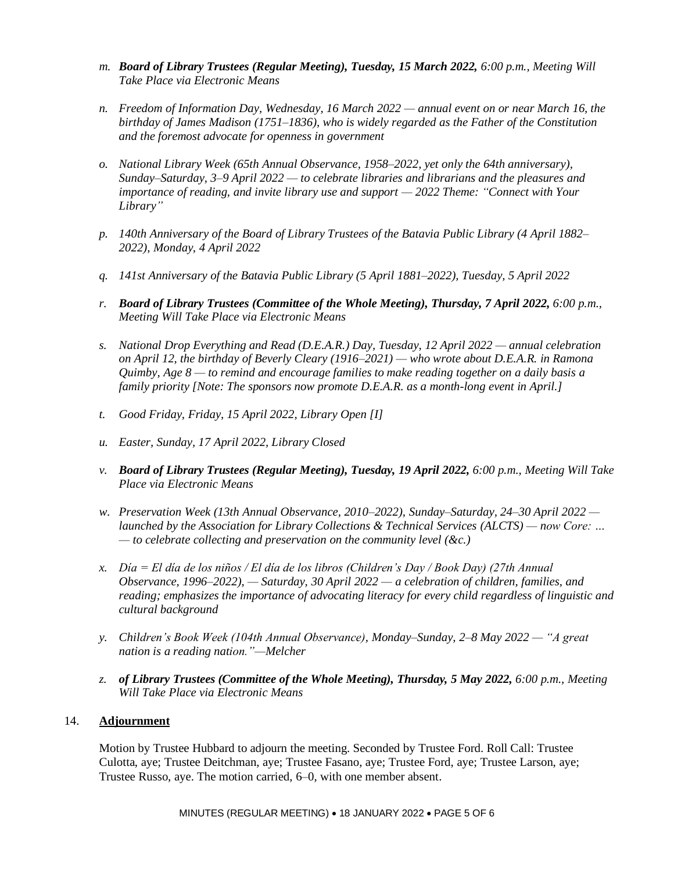- *m. Board of Library Trustees (Regular Meeting), Tuesday, 15 March 2022, 6:00 p.m., Meeting Will Take Place via Electronic Means*
- *n. Freedom of Information Day, Wednesday, 16 March 2022 — annual event on or near March 16, the birthday of James Madison (1751–1836), who is widely regarded as the Father of the Constitution and the foremost advocate for openness in government*
- *o. National Library Week (65th Annual Observance, 1958–2022, yet only the 64th anniversary), Sunday–Saturday, 3–9 April 2022 — to celebrate libraries and librarians and the pleasures and importance of reading, and invite library use and support — 2022 Theme: "Connect with Your Library"*
- *p. 140th Anniversary of the Board of Library Trustees of the Batavia Public Library (4 April 1882– 2022), Monday, 4 April 2022*
- *q. 141st Anniversary of the Batavia Public Library (5 April 1881–2022), Tuesday, 5 April 2022*
- *r. Board of Library Trustees (Committee of the Whole Meeting), Thursday, 7 April 2022, 6:00 p.m., Meeting Will Take Place via Electronic Means*
- *s. National Drop Everything and Read (D.E.A.R.) Day, Tuesday, 12 April 2022 — annual celebration on April 12, the birthday of Beverly Cleary (1916–2021) — who wrote about D.E.A.R. in Ramona Quimby, Age 8 — to remind and encourage families to make reading together on a daily basis a family priority [Note: The sponsors now promote D.E.A.R. as a month-long event in April.]*
- *t. Good Friday, Friday, 15 April 2022, Library Open [I]*
- *u. Easter, Sunday, 17 April 2022, Library Closed*
- *v. Board of Library Trustees (Regular Meeting), Tuesday, 19 April 2022, 6:00 p.m., Meeting Will Take Place via Electronic Means*
- *w. Preservation Week (13th Annual Observance, 2010–2022), Sunday–Saturday, 24–30 April 2022 launched by the Association for Library Collections & Technical Services (ALCTS) — now Core: … — to celebrate collecting and preservation on the community level (&c.)*
- *x. Día = El día de los niños / El día de los libros (Children's Day / Book Day) (27th Annual Observance, 1996–2022), — Saturday, 30 April 2022 — a celebration of children, families, and reading; emphasizes the importance of advocating literacy for every child regardless of linguistic and cultural background*
- *y. Children's Book Week (104th Annual Observance), Monday–Sunday, 2–8 May 2022 — "A great nation is a reading nation."—Melcher*
- *z. of Library Trustees (Committee of the Whole Meeting), Thursday, 5 May 2022, 6:00 p.m., Meeting Will Take Place via Electronic Means*

#### 14. **Adjournment**

Motion by Trustee Hubbard to adjourn the meeting. Seconded by Trustee Ford. Roll Call: Trustee Culotta, aye; Trustee Deitchman, aye; Trustee Fasano, aye; Trustee Ford, aye; Trustee Larson, aye; Trustee Russo, aye. The motion carried, 6–0, with one member absent.